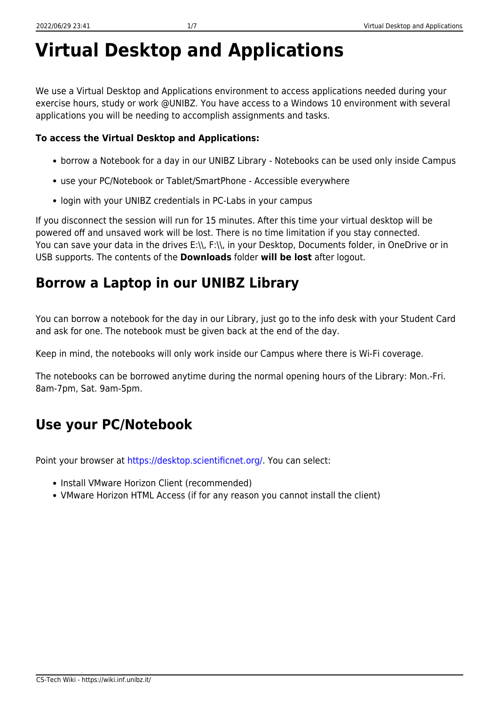# **Virtual Desktop and Applications**

We use a Virtual Desktop and Applications environment to access applications needed during your exercise hours, study or work @UNIBZ. You have access to a Windows 10 environment with several applications you will be needing to accomplish assignments and tasks.

### **To access the Virtual Desktop and Applications:**

- borrow a Notebook for a day in our UNIBZ Library Notebooks can be used only inside Campus
- use your PC/Notebook or Tablet/SmartPhone Accessible everywhere
- login with your UNIBZ credentials in PC-Labs in your campus

If you disconnect the session will run for 15 minutes. After this time your virtual desktop will be powered off and unsaved work will be lost. There is no time limitation if you stay connected. You can save your data in the drives E:\\, F:\\, in your Desktop, Documents folder, in OneDrive or in USB supports. The contents of the **Downloads** folder **will be lost** after logout.

## **Borrow a Laptop in our UNIBZ Library**

You can borrow a notebook for the day in our Library, just go to the info desk with your Student Card and ask for one. The notebook must be given back at the end of the day.

Keep in mind, the notebooks will only work inside our Campus where there is Wi-Fi coverage.

The notebooks can be borrowed anytime during the normal opening hours of the Library: Mon.-Fri. 8am-7pm, Sat. 9am-5pm.

# **Use your PC/Notebook**

Point your browser at<https://desktop.scientificnet.org/>. You can select:

- Install VMware Horizon Client (recommended)
- VMware Horizon HTML Access (if for any reason you cannot install the client)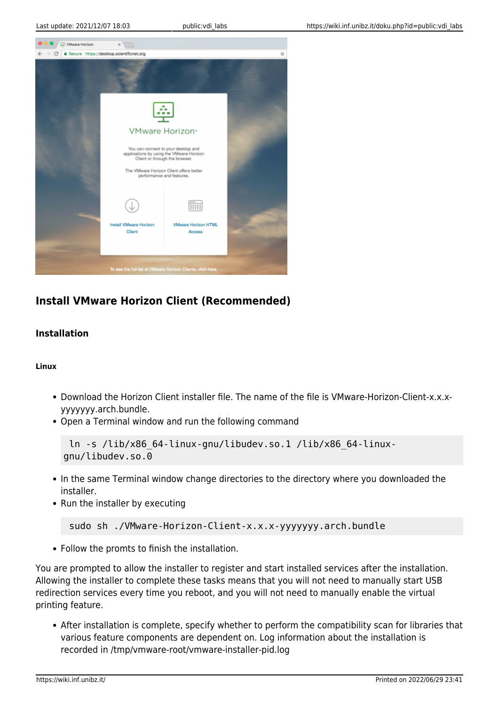

### **Install VMware Horizon Client (Recommended)**

#### **Installation**

#### **Linux**

- Download the Horizon Client installer file. The name of the file is VMware-Horizon-Client-x.x.xyyyyyyy.arch.bundle.
- Open a Terminal window and run the following command

```
 ln -s /lib/x86_64-linux-gnu/libudev.so.1 /lib/x86_64-linux-
gnu/libudev.so.0
```
- In the same Terminal window change directories to the directory where you downloaded the installer.
- Run the installer by executing

```
 sudo sh ./VMware-Horizon-Client-x.x.x-yyyyyyy.arch.bundle
```
Follow the promts to finish the installation.

You are prompted to allow the installer to register and start installed services after the installation. Allowing the installer to complete these tasks means that you will not need to manually start USB redirection services every time you reboot, and you will not need to manually enable the virtual printing feature.

After installation is complete, specify whether to perform the compatibility scan for libraries that various feature components are dependent on. Log information about the installation is recorded in /tmp/vmware-root/vmware-installer-pid.log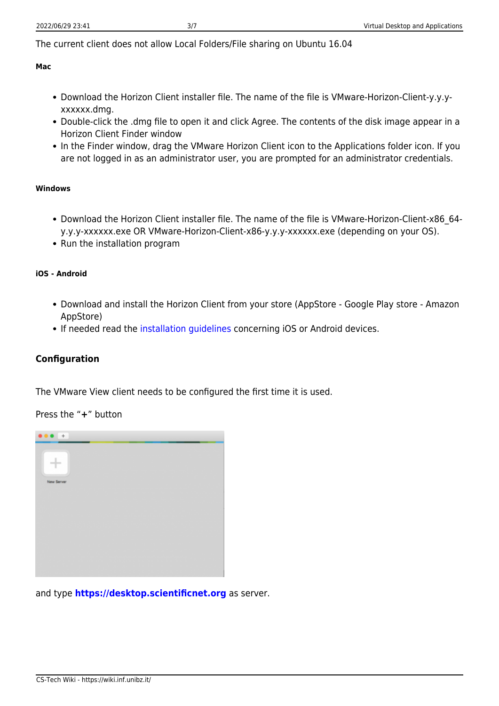The current client does not allow Local Folders/File sharing on Ubuntu 16.04

#### **Mac**

- Download the Horizon Client installer file. The name of the file is VMware-Horizon-Client-y.y.yxxxxxx.dmg.
- Double-click the .dmg file to open it and click Agree. The contents of the disk image appear in a Horizon Client Finder window
- In the Finder window, drag the VMware Horizon Client icon to the Applications folder icon. If you are not logged in as an administrator user, you are prompted for an administrator credentials.

#### **Windows**

- Download the Horizon Client installer file. The name of the file is VMware-Horizon-Client-x86\_64 y.y.y-xxxxxx.exe OR VMware-Horizon-Client-x86-y.y.y-xxxxxx.exe (depending on your OS).
- Run the installation program

#### **iOS - Android**

- Download and install the Horizon Client from your store (AppStore Google Play store Amazon AppStore)
- If needed read the [installation guidelines](https://my.vmware.com/web/vmware/info?slug=desktop_end_user_computing/vmware_horizon_clients/4_0) concerning iOS or Android devices.

#### **Configuration**

The VMware View client needs to be configured the first time it is used.

Press the "**+**" button



and type **<https://desktop.scientificnet.org>** as server.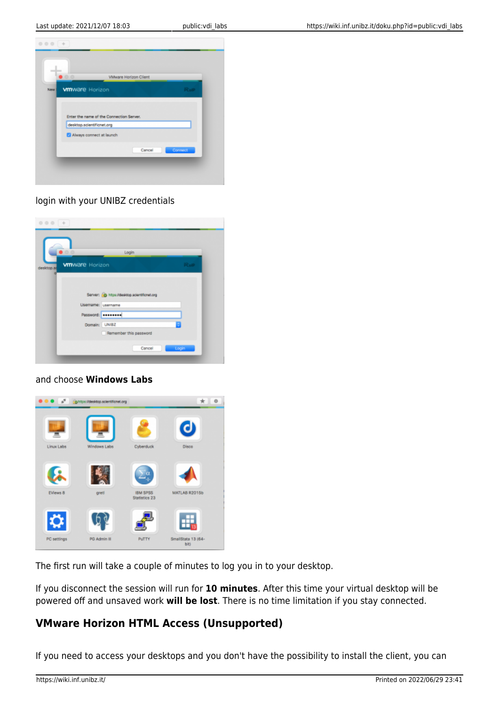

#### login with your UNIBZ credentials

| 0.0        |                        | Login                                         |              |
|------------|------------------------|-----------------------------------------------|--------------|
|            | <b>vm</b> ware Horizon |                                               | <b>PCoIP</b> |
| desktop.so |                        |                                               |              |
|            |                        |                                               |              |
|            |                        |                                               |              |
|            |                        | Server: (c) https://desktop.scientificnet.org |              |
|            | Usemame: username      |                                               |              |
|            | Password: ********     |                                               |              |
|            | Domain: UNIBZ          |                                               | ٠            |
|            |                        |                                               |              |

#### and choose **Windows Labs**



The first run will take a couple of minutes to log you in to your desktop.

If you disconnect the session will run for **10 minutes**. After this time your virtual desktop will be powered off and unsaved work **will be lost**. There is no time limitation if you stay connected.

### **VMware Horizon HTML Access (Unsupported)**

If you need to access your desktops and you don't have the possibility to install the client, you can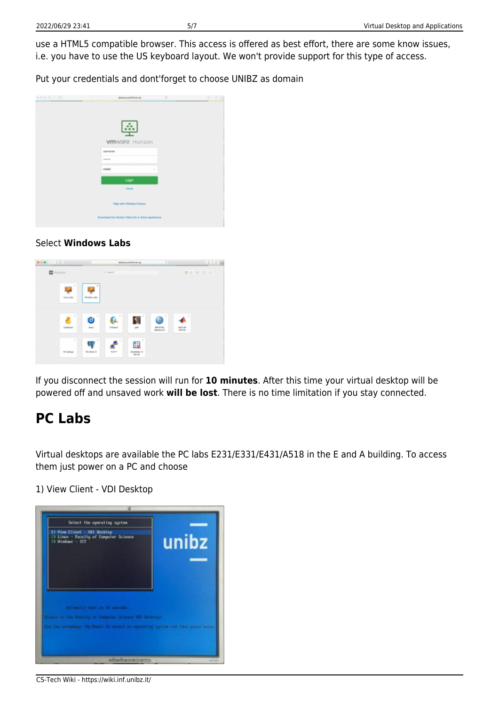use a HTML5 compatible browser. This access is offered as best effort, there are some know issues, i.e. you have to use the US keyboard layout. We won't provide support for this type of access.

Put your credentials and dont'forget to choose UNIBZ as domain

| 000 ( ) 0 | 75<br><b><i>Reinforcestford.org</i></b>             | 0.014 |
|-----------|-----------------------------------------------------|-------|
|           |                                                     |       |
|           |                                                     |       |
|           |                                                     |       |
|           | - 3                                                 |       |
|           | <b>vm</b> ware Horizon                              |       |
|           | <b>USOTIATIE</b>                                    |       |
|           | <b>STEVENS</b>                                      |       |
|           | UNIX<br>$\lambda_{\rm{B}}$                          |       |
|           | Login                                               |       |
|           | Canoel                                              |       |
|           |                                                     |       |
|           | Help with VMware Horizon                            |       |
|           |                                                     |       |
|           | Download the Harison Client for a richer experience |       |

#### Select **Windows Labs**



If you disconnect the session will run for **10 minutes**. After this time your virtual desktop will be powered off and unsaved work **will be lost**. There is no time limitation if you stay connected.

### **PC Labs**

Virtual desktops are available the PC labs E231/E331/E431/A518 in the E and A building. To access them just power on a PC and choose

1) View Client - VDI Desktop

| 5) View Client - VII Decktop<br>23 Linux - Facelty of Computer Science<br>33 Hindraw - ICT                         | unibz |
|--------------------------------------------------------------------------------------------------------------------|-------|
|                                                                                                                    |       |
| <b>INTIMETAL MAIL IN 14 MILLION</b><br>In the Deadly of Corporat Scheme SEP-Bookhope<br>time to scient manner inc. |       |

CS-Tech Wiki - https://wiki.inf.unibz.it/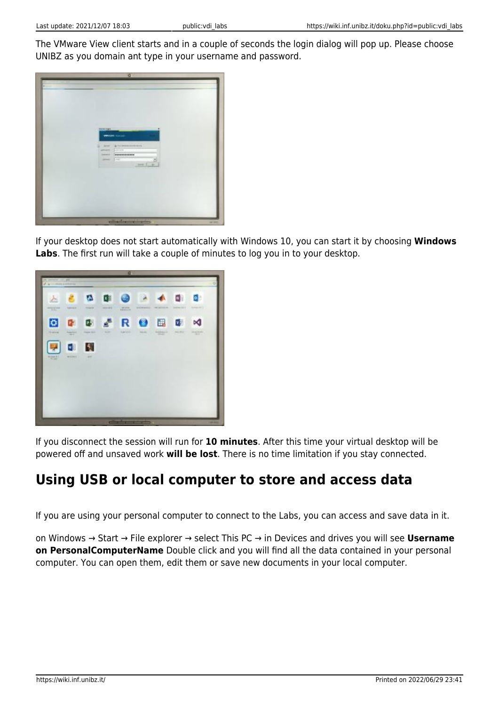The VMware View client starts and in a couple of seconds the login dialog will pop up. Please choose UNIBZ as you domain ant type in your username and password.



If your desktop does not start automatically with Windows 10, you can start it by choosing **Windows Labs**. The first run will take a couple of minutes to log you in to your desktop.



If you disconnect the session will run for **10 minutes**. After this time your virtual desktop will be powered off and unsaved work **will be lost**. There is no time limitation if you stay connected.

# **Using USB or local computer to store and access data**

If you are using your personal computer to connect to the Labs, you can access and save data in it.

on Windows → Start → File explorer → select This PC → in Devices and drives you will see **Username on PersonalComputerName** Double click and you will find all the data contained in your personal computer. You can open them, edit them or save new documents in your local computer.